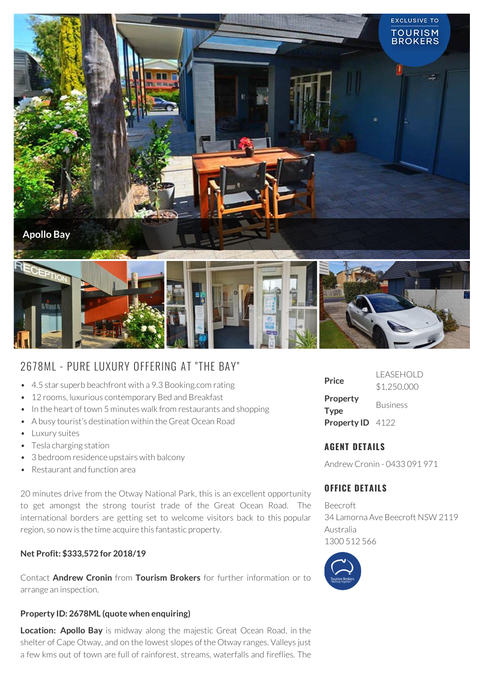

# 2678ML - PURE LUXURY OFFERING AT "THE BAY"

- 4.5 star superb beachfront with a 9.3 Booking.com rating
- 12 rooms, luxurious contemporary Bed and Breakfast
- In the heart of town 5 minutes walk from restaurants and shopping
- A busy tourist's destination within the Great Ocean Road
- Luxury suites
- Tesla charging station
- 3 bedroom residence upstairs with balcony
- Restaurant and function area

20 minutes drive from the Otway National Park, this is an excellent opportunity to get amongst the strong tourist trade of the Great Ocean Road. The international borders are getting set to welcome visitors back to this popular region, so now is the time acquire this fantastic property.

#### **Net Profit: \$333,572 for 2018/19**

Contact **Andrew Cronin** from **Tourism Brokers** for further information or to arrange an inspection.

#### **Property ID: 2678ML (quote when enquiring)**

**Location: Apollo Bay** is midway along the majestic Great Ocean Road, in the shelter of Cape Otway, and on the lowest slopes of the Otway ranges. Valleys just a few kms out of town are full of rainforest, streams, waterfalls and fireflies. The

| Price                   | I FASEHOI D<br>\$1,250,000 |
|-------------------------|----------------------------|
| Property<br><b>Type</b> | <b>Business</b>            |
| Property ID 4122        |                            |

### **AGENT DETAILS**

Andrew Cronin - 0433 091 971

## **OFFICE DETAILS**

Beecroft 34 Lamorna Ave Beecroft NSW 2119 Australia 1300 512 566